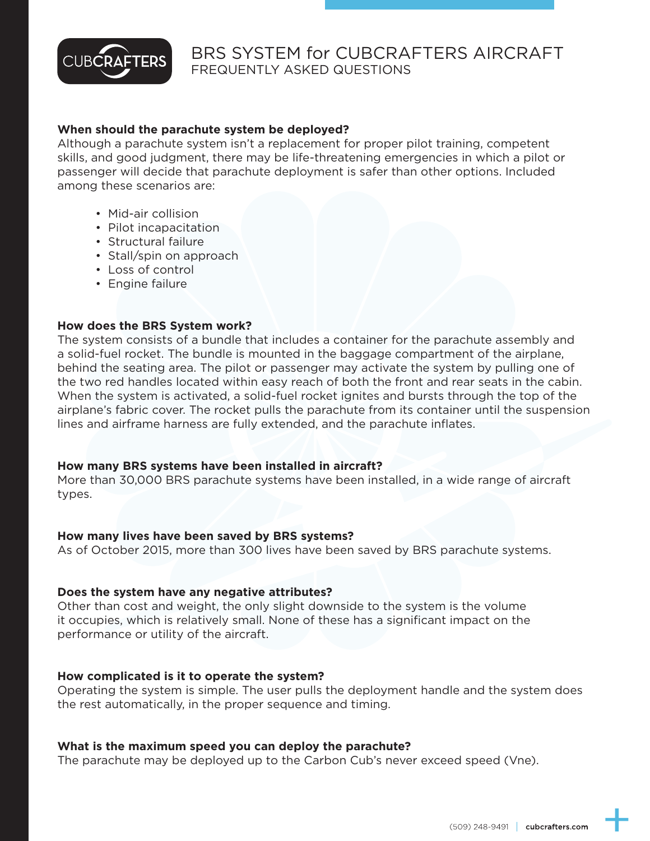

# BRS SYSTEM for CUBCRAFTERS AIRCRAFT FREQUENTLY ASKED QUESTIONS

### **When should the parachute system be deployed?**

Although a parachute system isn't a replacement for proper pilot training, competent skills, and good judgment, there may be life-threatening emergencies in which a pilot or passenger will decide that parachute deployment is safer than other options. Included among these scenarios are:

- Mid-air collision
- Pilot incapacitation
- Structural failure
- Stall/spin on approach
- Loss of control
- Engine failure

#### **How does the BRS System work?**

The system consists of a bundle that includes a container for the parachute assembly and a solid-fuel rocket. The bundle is mounted in the baggage compartment of the airplane, behind the seating area. The pilot or passenger may activate the system by pulling one of the two red handles located within easy reach of both the front and rear seats in the cabin. When the system is activated, a solid-fuel rocket ignites and bursts through the top of the airplane's fabric cover. The rocket pulls the parachute from its container until the suspension lines and airframe harness are fully extended, and the parachute inflates.

#### **How many BRS systems have been installed in aircraft?**

More than 30,000 BRS parachute systems have been installed, in a wide range of aircraft types.

#### **How many lives have been saved by BRS systems?**

As of October 2015, more than 300 lives have been saved by BRS parachute systems.

#### **Does the system have any negative attributes?**

Other than cost and weight, the only slight downside to the system is the volume it occupies, which is relatively small. None of these has a significant impact on the performance or utility of the aircraft.

#### **How complicated is it to operate the system?**

Operating the system is simple. The user pulls the deployment handle and the system does the rest automatically, in the proper sequence and timing.

#### **What is the maximum speed you can deploy the parachute?**

The parachute may be deployed up to the Carbon Cub's never exceed speed (Vne).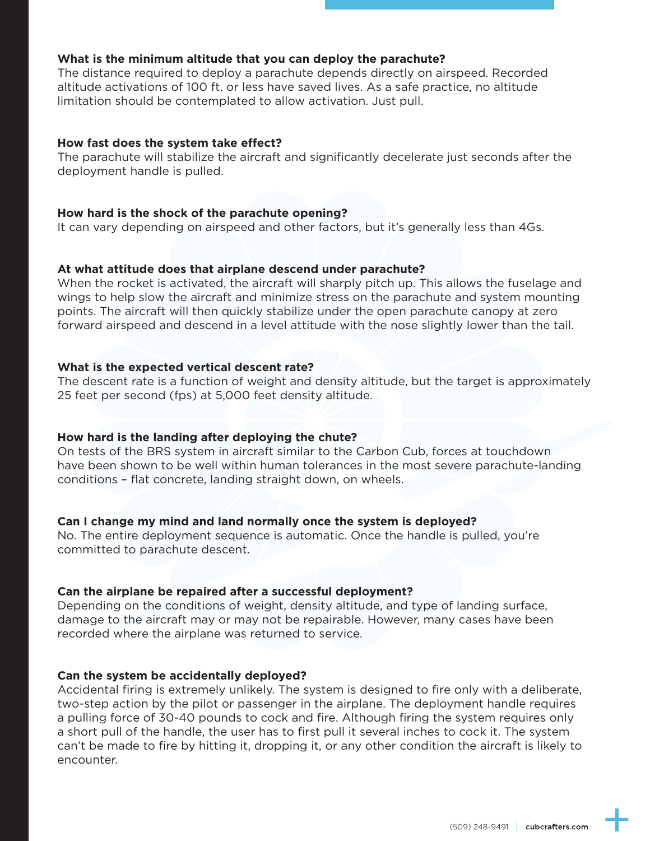### **What is the minimum altitude that you can deploy the parachute?**

The distance required to deploy a parachute depends directly on airspeed. Recorded altitude activations of 100 ft. or less have saved lives. As a safe practice, no altitude limitation should be contemplated to allow activation. Just pull.

### **How fast does the system take effect?**

The parachute will stabilize the aircraft and significantly decelerate just seconds after the deployment handle is pulled.

#### **How hard is the shock of the parachute opening?**

It can vary depending on airspeed and other factors, but it's generally less than 4Gs.

### **At what attitude does that airplane descend under parachute?**

When the rocket is activated, the aircraft will sharply pitch up. This allows the fuselage and wings to help slow the aircraft and minimize stress on the parachute and system mounting points. The aircraft will then quickly stabilize under the open parachute canopy at zero forward airspeed and descend in a level attitude with the nose slightly lower than the tail.

### **What is the expected vertical descent rate?**

The descent rate is a function of weight and density altitude, but the target is approximately 25 feet per second (fps) at 5,000 feet density altitude.

#### **How hard is the landing after deploying the chute?**

On tests of the BRS system in aircraft similar to the Carbon Cub, forces at touchdown have been shown to be well within human tolerances in the most severe parachute-landing conditions – flat concrete, landing straight down, on wheels.

### **Can I change my mind and land normally once the system is deployed?**

No. The entire deployment sequence is automatic. Once the handle is pulled, you're committed to parachute descent.

### **Can the airplane be repaired after a successful deployment?**

Depending on the conditions of weight, density altitude, and type of landing surface, damage to the aircraft may or may not be repairable. However, many cases have been recorded where the airplane was returned to service.

#### **Can the system be accidentally deployed?**

Accidental firing is extremely unlikely. The system is designed to fire only with a deliberate, two-step action by the pilot or passenger in the airplane. The deployment handle requires a pulling force of 30-40 pounds to cock and fire. Although firing the system requires only a short pull of the handle, the user has to first pull it several inches to cock it. The system can't be made to fire by hitting it, dropping it, or any other condition the aircraft is likely to encounter.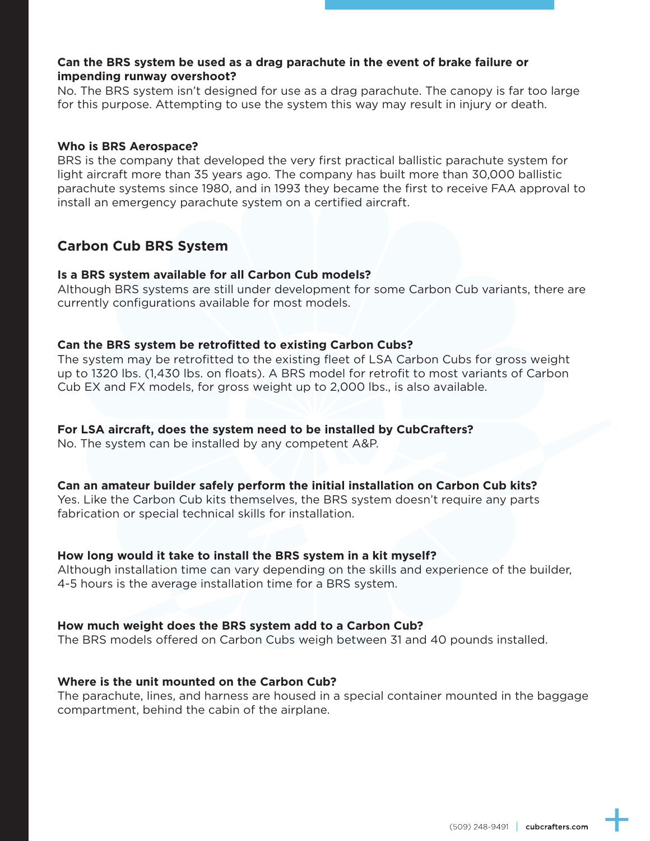### **Can the BRS system be used as a drag parachute in the event of brake failure or impending runway overshoot?**

No. The BRS system isn't designed for use as a drag parachute. The canopy is far too large for this purpose. Attempting to use the system this way may result in injury or death.

### **Who is BRS Aerospace?**

BRS is the company that developed the very first practical ballistic parachute system for light aircraft more than 35 years ago. The company has built more than 30,000 ballistic parachute systems since 1980, and in 1993 they became the first to receive FAA approval to install an emergency parachute system on a certified aircraft.

## **Carbon Cub BRS System**

### **Is a BRS system available for all Carbon Cub models?**

Although BRS systems are still under development for some Carbon Cub variants, there are currently configurations available for most models.

### **Can the BRS system be retrofitted to existing Carbon Cubs?**

The system may be retrofitted to the existing fleet of LSA Carbon Cubs for gross weight up to 1320 lbs. (1,430 lbs. on floats). A BRS model for retrofit to most variants of Carbon Cub EX and FX models, for gross weight up to 2,000 lbs., is also available.

### **For LSA aircraft, does the system need to be installed by CubCrafters?**

No. The system can be installed by any competent A&P.

### **Can an amateur builder safely perform the initial installation on Carbon Cub kits?**

Yes. Like the Carbon Cub kits themselves, the BRS system doesn't require any parts fabrication or special technical skills for installation.

### **How long would it take to install the BRS system in a kit myself?**

Although installation time can vary depending on the skills and experience of the builder, 4-5 hours is the average installation time for a BRS system.

### **How much weight does the BRS system add to a Carbon Cub?**

The BRS models offered on Carbon Cubs weigh between 31 and 40 pounds installed.

### **Where is the unit mounted on the Carbon Cub?**

The parachute, lines, and harness are housed in a special container mounted in the baggage compartment, behind the cabin of the airplane.